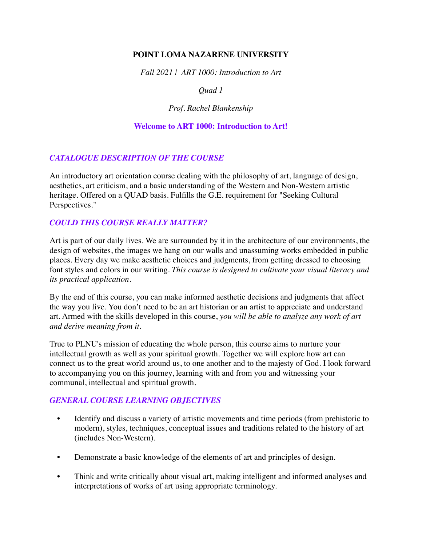# **POINT LOMA NAZARENE UNIVERSITY**

*Fall 2021 | ART 1000: Introduction to Art* 

# *Quad 1*

## *Prof. Rachel Blankenship*

## **Welcome to ART 1000: Introduction to Art!**

# *CATALOGUE DESCRIPTION OF THE COURSE*

An introductory art orientation course dealing with the philosophy of art, language of design, aesthetics, art criticism, and a basic understanding of the Western and Non-Western artistic heritage. Offered on a QUAD basis. Fulfills the G.E. requirement for "Seeking Cultural Perspectives."

# *COULD THIS COURSE REALLY MATTER?*

Art is part of our daily lives. We are surrounded by it in the architecture of our environments, the design of websites, the images we hang on our walls and unassuming works embedded in public places. Every day we make aesthetic choices and judgments, from getting dressed to choosing font styles and colors in our writing. *This course is designed to cultivate your visual literacy and its practical application.*

By the end of this course, you can make informed aesthetic decisions and judgments that affect the way you live. You don't need to be an art historian or an artist to appreciate and understand art. Armed with the skills developed in this course, *you will be able to analyze any work of art and derive meaning from it*.

True to PLNU's mission of educating the whole person, this course aims to nurture your intellectual growth as well as your spiritual growth. Together we will explore how art can connect us to the great world around us, to one another and to the majesty of God. I look forward to accompanying you on this journey, learning with and from you and witnessing your communal, intellectual and spiritual growth.

#### *GENERAL COURSE LEARNING OBJECTIVES*

- Identify and discuss a variety of artistic movements and time periods (from prehistoric to modern), styles, techniques, conceptual issues and traditions related to the history of art (includes Non-Western).
- Demonstrate a basic knowledge of the elements of art and principles of design.
- Think and write critically about visual art, making intelligent and informed analyses and interpretations of works of art using appropriate terminology.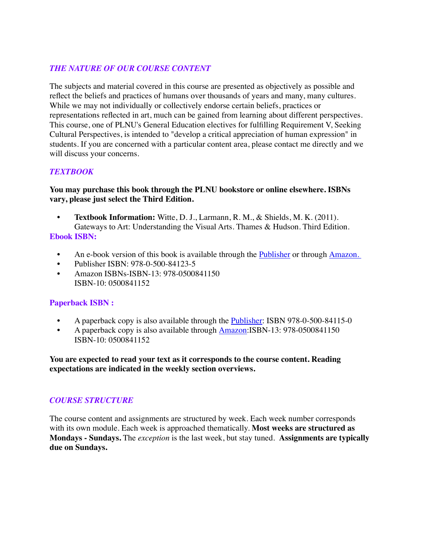# *THE NATURE OF OUR COURSE CONTENT*

The subjects and material covered in this course are presented as objectively as possible and reflect the beliefs and practices of humans over thousands of years and many, many cultures. While we may not individually or collectively endorse certain beliefs, practices or representations reflected in art, much can be gained from learning about different perspectives. This course, one of PLNU's General Education electives for fulfilling Requirement V, Seeking Cultural Perspectives, is intended to "develop a critical appreciation of human expression" in students. If you are concerned with a particular content area, please contact me directly and we will discuss your concerns.

## *TEXTBOOK*

# **You may purchase this book through the PLNU bookstore or online elsewhere. ISBNs vary, please just select the Third Edition.**

- **• Textbook Information:** Witte, D. J., Larmann, R. M., & Shields, M. K. (2011). Gateways to Art: Understanding the Visual Arts. Thames & Hudson. Third Edition. **Ebook ISBN:**
	- An e-book version of this book is available through the [Publisher](https://wwnorton.com/books/9780500841150) or through [Amazon.](https://www.amazon.com/Gateways-Art-Debra-J-DeWitte-ebook-dp-B07JV8QCT3/dp/B07JV8QCT3/ref=mt_kindle?_encoding=UTF8&me=&qid=)
	- Publisher ISBN: 978-0-500-84123-5
	- Amazon ISBNs-ISBN-13: 978-0500841150 ISBN-10: 0500841152

#### **Paperback ISBN :**

- A paperback copy is also available through the [Publisher:](https://wwnorton.com/books/9780500841150) ISBN 978-0-500-84115-0
- A paperback copy is also available through [Amazon](https://www.amazon.com/Gateways-Art-Third-Debra-DeWitte-dp-0500841152/dp/0500841152/ref=mt_other?_encoding=UTF8&me=&qid=): ISBN-13: 978-0500841150 ISBN-10: 0500841152

**You are expected to read your text as it corresponds to the course content. Reading expectations are indicated in the weekly section overviews.**

#### *COURSE STRUCTURE*

The course content and assignments are structured by week. Each week number corresponds with its own module. Each week is approached thematically. **Most weeks are structured as Mondays - Sundays.** The *exception* is the last week, but stay tuned. **Assignments are typically due on Sundays.**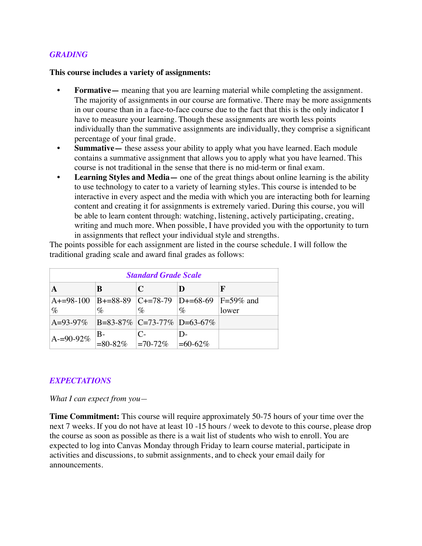#### *GRADING*

#### **This course includes a variety of assignments:**

- **• Formative—** meaning that you are learning material while completing the assignment. The majority of assignments in our course are formative. There may be more assignments in our course than in a face-to-face course due to the fact that this is the only indicator I have to measure your learning. Though these assignments are worth less points individually than the summative assignments are individually, they comprise a significant percentage of your final grade.
- **• Summative—** these assess your ability to apply what you have learned. Each module contains a summative assignment that allows you to apply what you have learned. This course is not traditional in the sense that there is no mid-term or final exam.
- **• Learning Styles and Media—** one of the great things about online learning is the ability to use technology to cater to a variety of learning styles. This course is intended to be interactive in every aspect and the media with which you are interacting both for learning content and creating it for assignments is extremely varied. During this course, you will be able to learn content through: watching, listening, actively participating, creating, writing and much more. When possible, I have provided you with the opportunity to turn in assignments that reflect your individual style and strengths.

The points possible for each assignment are listed in the course schedule. I will follow the traditional grading scale and award final grades as follows:

| <b>Standard Grade Scale</b>                                |                                       |               |            |       |
|------------------------------------------------------------|---------------------------------------|---------------|------------|-------|
|                                                            | B                                     | $\mathbf C$   |            | F     |
| A+=98-100  B+=88-89  C+=78-79  D+=68-69  F=59% and<br>$\%$ | $\%$                                  | $\%$          | $\%$       | lower |
| A=93-97\%   B=83-87\%   C=73-77\%   D=63-67\%              |                                       |               |            |       |
| $A = 90-92\%$                                              | $B-$<br>$\leq 80-82\%$ $\leq 70-72\%$ | $\mathcal{C}$ | $=60-62\%$ |       |

#### *EXPECTATIONS*

*What I can expect from you—*

**Time Commitment:** This course will require approximately 50-75 hours of your time over the next 7 weeks. If you do not have at least 10 -15 hours / week to devote to this course, please drop the course as soon as possible as there is a wait list of students who wish to enroll. You are expected to log into Canvas Monday through Friday to learn course material, participate in activities and discussions, to submit assignments, and to check your email daily for announcements.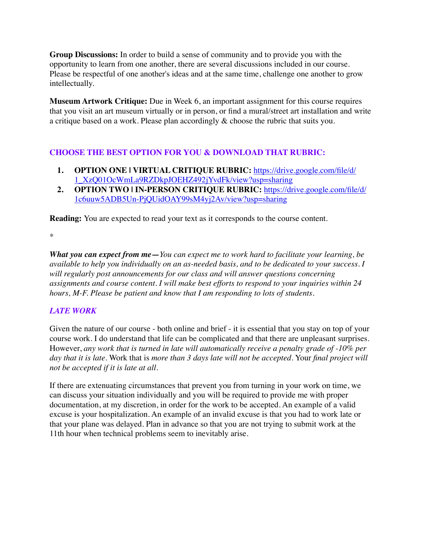**Group Discussions:** In order to build a sense of community and to provide you with the opportunity to learn from one another, there are several discussions included in our course. Please be respectful of one another's ideas and at the same time, challenge one another to grow intellectually.

**Museum Artwork Critique:** Due in Week 6, an important assignment for this course requires that you visit an art museum virtually or in person, or find a mural/street art installation and write a critique based on a work. Please plan accordingly & choose the rubric that suits you.

# **CHOOSE THE BEST OPTION FOR YOU & DOWNLOAD THAT RUBRIC:**

- **1. [OPTION ONE | VIRTUAL CRITIQUE RUBRIC:](https://drive.google.com/file/d/1_XzQ01OcWmLa9RZDkpJOEHZ492jYvdFk/view?usp=sharing)** [https://drive.google.com/file/d/](https://drive.google.com/file/d/1_XzQ01OcWmLa9RZDkpJOEHZ492jYvdFk/view?usp=sharing) [1\\_XzQ01OcWmLa9RZDkpJOEHZ492jYvdFk/view?usp=sharing](https://drive.google.com/file/d/1_XzQ01OcWmLa9RZDkpJOEHZ492jYvdFk/view?usp=sharing)
- **2. [OPTION TWO | IN-PERSON CRITIQUE RUBRIC:](https://drive.google.com/file/d/1c6uuw5ADB5Un-PjQUidOAY99sM4yj2Av/view?usp=sharing)** [https://drive.google.com/file/d/](https://drive.google.com/file/d/1c6uuw5ADB5Un-PjQUidOAY99sM4yj2Av/view?usp=sharing) [1c6uuw5ADB5Un-PjQUidOAY99sM4yj2Av/view?usp=sharing](https://drive.google.com/file/d/1c6uuw5ADB5Un-PjQUidOAY99sM4yj2Av/view?usp=sharing)

**Reading:** You are expected to read your text as it corresponds to the course content.

\*

*What you can expect from me***—***You can expect me to work hard to facilitate your learning, be available to help you individually on an as-needed basis, and to be dedicated to your success. I will regularly post announcements for our class and will answer questions concerning assignments and course content. I will make best efforts to respond to your inquiries within 24 hours, M-F. Please be patient and know that I am responding to lots of students.*

# *LATE WORK*

Given the nature of our course - both online and brief - it is essential that you stay on top of your course work. I do understand that life can be complicated and that there are unpleasant surprises. However, *any work that is turned in late will automatically receive a penalty grade of -10% per day that it is late*. Work that is *more than 3 days late will not be accepted*. Your *final project will not be accepted if it is late at all*.

If there are extenuating circumstances that prevent you from turning in your work on time, we can discuss your situation individually and you will be required to provide me with proper documentation, at my discretion, in order for the work to be accepted. An example of a valid excuse is your hospitalization. An example of an invalid excuse is that you had to work late or that your plane was delayed. Plan in advance so that you are not trying to submit work at the 11th hour when technical problems seem to inevitably arise.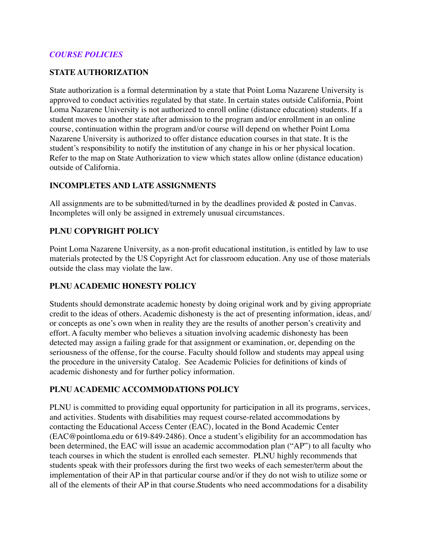## *COURSE POLICIES*

## **STATE AUTHORIZATION**

State authorization is a formal determination by a state that Point Loma Nazarene University is approved to conduct activities regulated by that state. In certain states outside California, Point Loma Nazarene University is not authorized to enroll online (distance education) students. If a student moves to another state after admission to the program and/or enrollment in an online course, continuation within the program and/or course will depend on whether Point Loma Nazarene University is authorized to offer distance education courses in that state. It is the student's responsibility to notify the institution of any change in his or her physical location. Refer to the map on State Authorization to view which states allow online (distance education) outside of California.

## **INCOMPLETES AND LATE ASSIGNMENTS**

All assignments are to be submitted/turned in by the deadlines provided & posted in Canvas. Incompletes will only be assigned in extremely unusual circumstances.

## **PLNU COPYRIGHT POLICY**

Point Loma Nazarene University, as a non-profit educational institution, is entitled by law to use materials protected by the US Copyright Act for classroom education. Any use of those materials outside the class may violate the law.

# **PLNU ACADEMIC HONESTY POLICY**

Students should demonstrate academic honesty by doing original work and by giving appropriate credit to the ideas of others. Academic dishonesty is the act of presenting information, ideas, and/ or concepts as one's own when in reality they are the results of another person's creativity and effort. A faculty member who believes a situation involving academic dishonesty has been detected may assign a failing grade for that assignment or examination, or, depending on the seriousness of the offense, for the course. Faculty should follow and students may appeal using the procedure in the university Catalog. See Academic Policies for definitions of kinds of academic dishonesty and for further policy information.

#### **PLNU ACADEMIC ACCOMMODATIONS POLICY**

PLNU is committed to providing equal opportunity for participation in all its programs, services, and activities. Students with disabilities may request course-related accommodations by contacting the Educational Access Center (EAC), located in the Bond Academic Center (EAC@pointloma.edu or 619-849-2486). Once a student's eligibility for an accommodation has been determined, the EAC will issue an academic accommodation plan ("AP") to all faculty who teach courses in which the student is enrolled each semester. PLNU highly recommends that students speak with their professors during the first two weeks of each semester/term about the implementation of their AP in that particular course and/or if they do not wish to utilize some or all of the elements of their AP in that course.Students who need accommodations for a disability